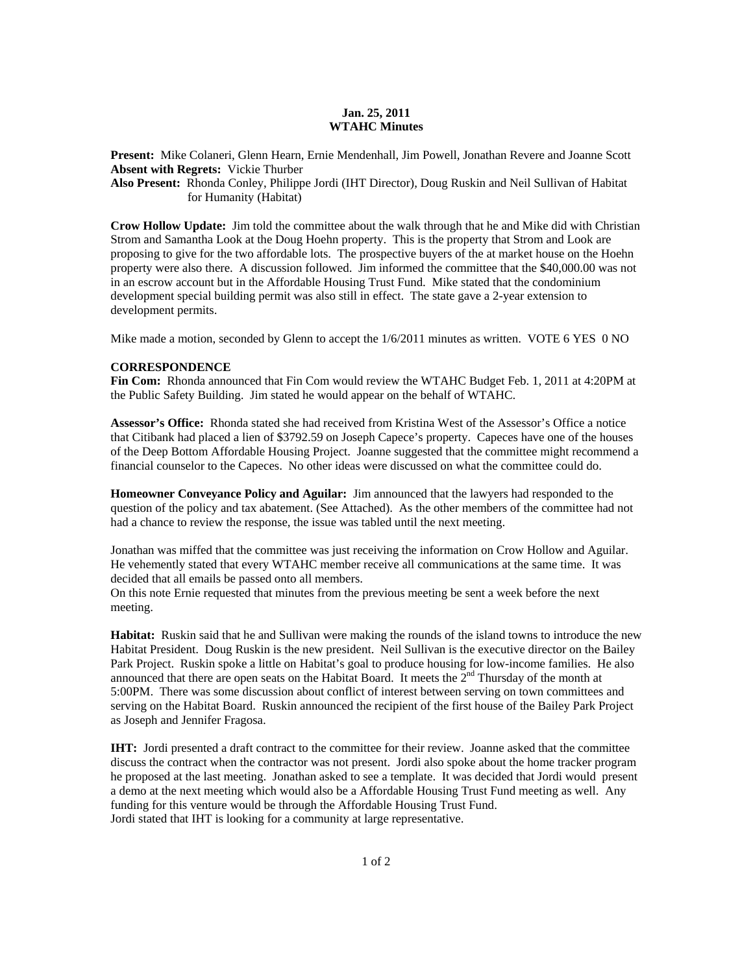## **Jan. 25, 2011 WTAHC Minutes**

**Present:** Mike Colaneri, Glenn Hearn, Ernie Mendenhall, Jim Powell, Jonathan Revere and Joanne Scott **Absent with Regrets:** Vickie Thurber

**Also Present:** Rhonda Conley, Philippe Jordi (IHT Director), Doug Ruskin and Neil Sullivan of Habitat for Humanity (Habitat)

**Crow Hollow Update:** Jim told the committee about the walk through that he and Mike did with Christian Strom and Samantha Look at the Doug Hoehn property. This is the property that Strom and Look are proposing to give for the two affordable lots. The prospective buyers of the at market house on the Hoehn property were also there. A discussion followed. Jim informed the committee that the \$40,000.00 was not in an escrow account but in the Affordable Housing Trust Fund. Mike stated that the condominium development special building permit was also still in effect. The state gave a 2-year extension to development permits.

Mike made a motion, seconded by Glenn to accept the 1/6/2011 minutes as written. VOTE 6 YES 0 NO

## **CORRESPONDENCE**

**Fin Com:** Rhonda announced that Fin Com would review the WTAHC Budget Feb. 1, 2011 at 4:20PM at the Public Safety Building. Jim stated he would appear on the behalf of WTAHC.

**Assessor's Office:** Rhonda stated she had received from Kristina West of the Assessor's Office a notice that Citibank had placed a lien of \$3792.59 on Joseph Capece's property. Capeces have one of the houses of the Deep Bottom Affordable Housing Project. Joanne suggested that the committee might recommend a financial counselor to the Capeces. No other ideas were discussed on what the committee could do.

**Homeowner Conveyance Policy and Aguilar:** Jim announced that the lawyers had responded to the question of the policy and tax abatement. (See Attached). As the other members of the committee had not had a chance to review the response, the issue was tabled until the next meeting.

Jonathan was miffed that the committee was just receiving the information on Crow Hollow and Aguilar. He vehemently stated that every WTAHC member receive all communications at the same time. It was decided that all emails be passed onto all members.

On this note Ernie requested that minutes from the previous meeting be sent a week before the next meeting.

**Habitat:** Ruskin said that he and Sullivan were making the rounds of the island towns to introduce the new Habitat President. Doug Ruskin is the new president. Neil Sullivan is the executive director on the Bailey Park Project. Ruskin spoke a little on Habitat's goal to produce housing for low-income families. He also announced that there are open seats on the Habitat Board. It meets the  $2<sup>nd</sup>$  Thursday of the month at 5:00PM. There was some discussion about conflict of interest between serving on town committees and serving on the Habitat Board. Ruskin announced the recipient of the first house of the Bailey Park Project as Joseph and Jennifer Fragosa.

**IHT:** Jordi presented a draft contract to the committee for their review. Joanne asked that the committee discuss the contract when the contractor was not present. Jordi also spoke about the home tracker program he proposed at the last meeting. Jonathan asked to see a template. It was decided that Jordi would present a demo at the next meeting which would also be a Affordable Housing Trust Fund meeting as well. Any funding for this venture would be through the Affordable Housing Trust Fund. Jordi stated that IHT is looking for a community at large representative.